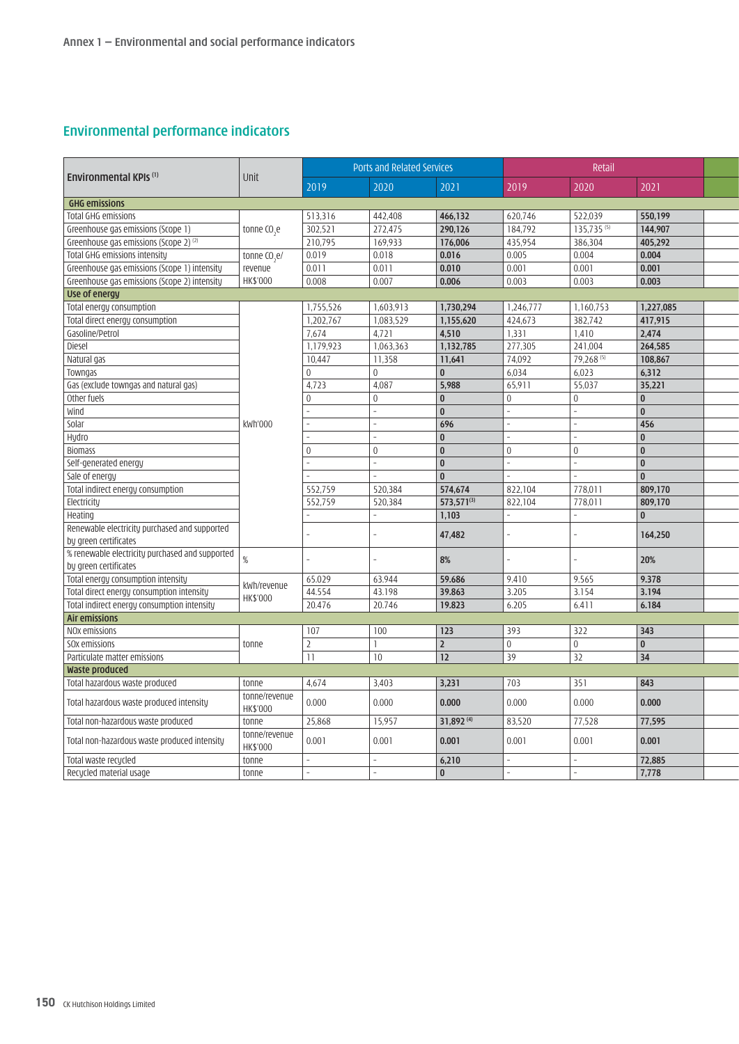## **Environmental performance indicators**

|                                                 | Unit                      | Ports and Related Services |                |            | Retail              |                        |                         |
|-------------------------------------------------|---------------------------|----------------------------|----------------|------------|---------------------|------------------------|-------------------------|
| <b>Environmental KPIs (1)</b>                   |                           | 2019                       | 2020           | 2021       | 2019                | 2020                   | 2021                    |
| <b>GHG emissions</b>                            |                           |                            |                |            |                     |                        |                         |
| Total GHG emissions                             |                           | 513.316                    | 442.408        | 466,132    | 620.746             | 522,039                | 550.199                 |
| Greenhouse gas emissions (Scope 1)              | tonne CO <sub>2</sub> e   | 302,521                    | 272,475        | 290.126    | 184.792             | 135.735 <sup>(5)</sup> | 144.907                 |
| Greenhouse gas emissions (Scope 2) $^{(2)}$     |                           | 210,795                    | 169,933        | 176,006    | 435,954             | 386,304                | 405,292                 |
| Total GHG emissions intensity                   | tonne CO <sub>s</sub> e/  | 0.019                      | 0.018          | 0.016      | 0.005               | 0.004                  | 0.004                   |
| Greenhouse gas emissions (Scope 1) intensity    | revenue                   | 0.011                      | 0.011          | 0.010      | 0.001               | 0.001                  | 0.001                   |
| Greenhouse gas emissions (Scope 2) intensity    | HK\$'000                  | 0.008                      | 0.007          | 0.006      | 0.003               | 0.003                  | 0.003                   |
| Use of energy                                   |                           |                            |                |            |                     |                        |                         |
| Total energy consumption                        |                           | 1,755,526                  | 1,603,913      | 1,730,294  | 1,246,777           | 1,160,753              | 1,227,085               |
| Total direct energy consumption                 |                           | 1,202,767                  | 1,083,529      | 1,155,620  | 424,673             | 382,742                | 417,915                 |
| Gasoline/Petrol                                 |                           | 7.674                      | 4.721          | 4.510      | 1.331               | 1.410                  | 2.474                   |
| Diesel                                          |                           | 1,179,923                  | 1.063.363      | 1,132,785  | 277,305             | 241.004                | 264.585                 |
| Natural gas                                     |                           | 10,447                     | 11,358         | 11,641     | 74,092              | 79,268 <sup>(5)</sup>  | 108,867                 |
|                                                 |                           |                            | $\overline{0}$ | $\vert$ 0  |                     |                        |                         |
| Towngas                                         |                           |                            |                |            | 6,034               | 6,023                  | 6,312                   |
| Gas (exclude towngas and natural gas)           |                           | 4,723                      | 4,087          | 5,988      | 65,911              | 55,037                 | 35,221                  |
| Other fuels                                     |                           |                            | $\overline{0}$ | 0          | $\Omega$            | $\overline{0}$         | 0                       |
| Wind                                            |                           |                            |                | 0 I        |                     |                        | $\overline{0}$          |
| Solar                                           | kWh'000                   |                            |                | 696        |                     |                        | 456                     |
| Hydro                                           |                           |                            |                | 0          |                     |                        | l o                     |
| <b>Biomass</b>                                  |                           |                            | l n            | 0          |                     | l n                    | $\overline{0}$          |
| Self-generated energy                           |                           |                            |                | 0 I        |                     |                        | $\overline{0}$          |
| Sale of energy                                  |                           |                            |                | 0 I        |                     |                        | l o                     |
| Total indirect energy consumption               |                           | 552,759                    | 520,384        | 574,674    | 822,104             | 778,011                | 809,170                 |
| Electricity                                     |                           | 552,759                    | 520,384        | 573,571(3) | 822,104             | 778,011                | 809,170                 |
| Heating                                         |                           |                            |                | 1,103      |                     |                        | $\mathbf{0}$            |
| Renewable electricity purchased and supported   |                           |                            |                |            |                     |                        |                         |
| by green certificates                           |                           |                            |                | 47,482     |                     |                        | 164,250                 |
| S renewable electricity purchased and supported |                           |                            |                |            |                     |                        |                         |
| by green certificates                           |                           |                            |                | $8\%$      |                     |                        | 20%                     |
| Total energy consumption intensity              |                           | 65.029                     | 63.944         | 59.686     | 9.410               | 9.565                  | 9.378                   |
| Total direct energy consumption intensity       | kWh/revenue               | 44.554                     | 43.198         | 39.863     | 3.205               | 3.154                  | 3.194                   |
| Total indirect energy consumption intensity     | HK\$'000                  | 20.476                     | 20.746         | 19.823     | 6.205               | 6.411                  | 6.184                   |
| <b>Air emissions</b>                            |                           |                            |                |            |                     |                        |                         |
| NOx emissions                                   |                           | $ 107\rangle$              | 100            | 123        | 393                 | 322                    | $\boxed{343}$           |
| SOx emissions                                   | tonne                     |                            |                | 2          | $\overline{0}$      | $\vert 0 \vert$        | $\overline{\mathbf{0}}$ |
| Particulate matter emissions                    |                           | 11                         | $ 10\rangle$   | <b>12</b>  | 39                  | 32                     | 34                      |
| <b>Waste produced</b>                           |                           |                            |                |            |                     |                        |                         |
| Total hazardous waste produced                  | tonne                     | 4,674                      | 3.403          | 3,231      | 703                 | 351                    | 843                     |
|                                                 | tonne/revenue             |                            |                |            |                     |                        |                         |
| Total hazardous waste produced intensity        | <b>HK\$'000</b>           | 0.000                      | 0.000          | 0.000      | $\vert 0.000 \vert$ | 0.000                  | 0.000                   |
| Total non-hazardous waste produced              | tonne                     | 25.868                     | 15,957         | 31,892 (4) | 83,520              | 77,528                 | 77,595                  |
| Total non-hazardous waste produced intensity    | tonne/revenue<br>HK\$'000 | 0.001                      | 0.001          | 0.001      | 0.001               | 0.001                  | 0.001                   |
| Total waste recycled                            | tonne                     |                            |                | 6,210      |                     |                        | 72.885                  |
| Recycled material usage                         | tonne                     |                            |                | 0 I        |                     |                        | 7.778                   |
|                                                 |                           |                            |                |            |                     |                        |                         |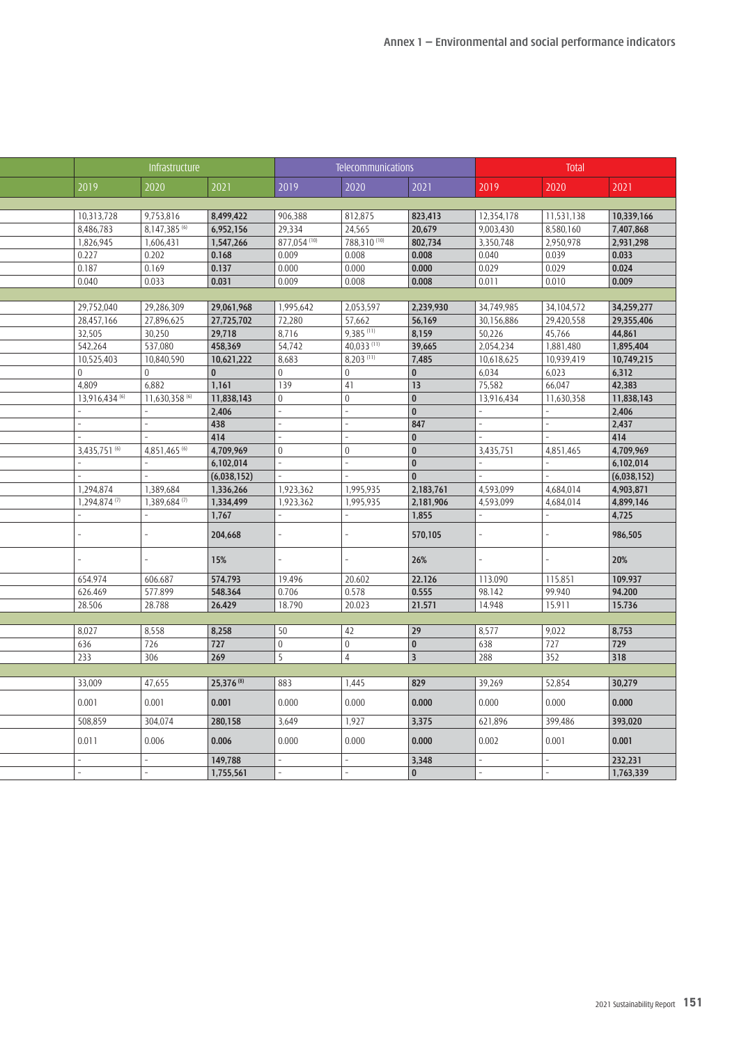|          |                            | Infrastructure |                |                | <b>Telecommunications</b>        |                |            | <b>Total</b>              |                      |
|----------|----------------------------|----------------|----------------|----------------|----------------------------------|----------------|------------|---------------------------|----------------------|
|          | 2019                       | 2020           | 2021           | 2019           | 2020                             | 2021           | 2019       | 2020                      | 2021                 |
|          |                            |                |                |                |                                  |                |            |                           |                      |
|          | 10,313,728                 | 9,753,816      | 8,499,422      | 906,388        | 812,875                          | 823,413        | 12,354,178 | 11,531,138                | 10,339,166           |
|          | 8,486,783                  | 8,147,385 (6)  | 6,952,156      | 29,334         | 24,565                           | 20,679         | 9,003,430  | 8,580,160                 | 7,407,868            |
|          | 1,826,945                  | 1,606,431      | 1,547,266      | 877,054 (10)   | 788,310 (10)                     | 802,734        | 3,350,748  | 2,950,978                 | 2,931,298            |
|          | 0.227                      | 0.202          | 0.168          | 0.009          | 0.008                            | 0.008          | 0.040      | 0.039                     | 0.033                |
|          | 0.187                      | 0.169          | 0.137          | 0.000          | 0.000                            | 0.000          | 0.029      | 0.029                     | 0.024                |
|          | 0.040                      | 0.033          | 0.031          | 0.009          | 0.008                            | 0.008          | 0.011      | 0.010                     | 0.009                |
|          | 29,752,040                 | 29.286.309     | 29,061,968     | 1,995,642      | 2,053,597                        | 2,239,930      | 34,749,985 | 34,104,572                | 34,259,277           |
|          | 28,457,166                 | 27,896,625     | 27,725,702     | 72,280         | 57,662                           | 56,169         | 30.156.886 | 29,420,558                | 29,355,406           |
|          | 32,505                     | 30,250         | 29,718         | 8,716          | $9,385$ <sup>(11)</sup>          | 8,159          | 50,226     | 45,766                    | 44,861               |
|          | 542,264                    | 537,080        | 458,369        | 54,742         | 40,033 (11)                      | 39,665         | 2,054,234  | 1,881,480                 | 1,895,404            |
|          | 10,525,403                 | 10,840,590     | 10,621,222     | 8,683          | $8,203$ <sup>(11)</sup>          | 7,485          | 10,618,625 | 10,939,419                | 10,749,215           |
| $\Omega$ |                            | l o            | $\overline{0}$ | $\overline{0}$ | $\overline{0}$                   | $\overline{0}$ | 6,034      | 6,023                     | 6,312                |
|          | 4,809                      | 6,882          | 1,161          | 139            | 41                               | $ 13\rangle$   | 75,582     | 66,047                    | 42,383               |
|          | 13,916,434 (6)             | 11,630,358 (6) | 11,838,143     | $\overline{0}$ | $\Omega$                         | $ 0\rangle$    | 13,916,434 | 11,630,358                | 11,838,143           |
|          |                            |                | 2,406          |                |                                  | $ 0\rangle$    |            |                           | 2,406                |
|          |                            |                | 438            |                |                                  | 847            |            |                           | 2,437                |
|          |                            |                | 414            |                |                                  | $ 0\rangle$    |            |                           | $\overline{414}$     |
|          | 3,435,751 (6)              | 4,851,465 (6)  | 4,709,969      | l 0            |                                  | $ 0\rangle$    | 3,435,751  | 4,851,465                 | 4,709,969            |
|          |                            |                | 6,102,014      |                |                                  | $ 0\rangle$    |            |                           | 6,102,014            |
|          |                            |                | (6,038,152)    |                |                                  | $\overline{0}$ |            |                           | (6,038,152)          |
|          | 1.294.874                  | 1,389,684      | 1,336,266      | 1,923,362      | 1,995,935                        | 2,183,761      | 4,593,099  | 4,684,014                 | 4,903,871            |
|          | $1,294,874$ <sup>(7)</sup> | 1,389,684 (7)  | 1,334,499      | 1,923,362      | 1,995,935                        | 2,181,906      | 4,593,099  | 4,684,014                 | 4,899,146            |
|          |                            |                | 1,767          |                |                                  | 1,855          |            |                           | 4,725                |
|          |                            |                | 204,668        |                |                                  | 570,105        |            |                           | 986,505              |
|          |                            |                | 15%            |                |                                  | 26%            |            |                           | 20%                  |
|          | 654.974                    | 606.687        | 574.793        | 19.496         | 20.602                           | 22.126         | 113.090    | 115.851                   | 109.937              |
|          | 626.469                    | 577.899        | 548.364        | 0.706          | 0.578                            | 0.555          | 98.142     | 99.940                    | 94.200               |
|          | 28.506                     | 28.788         | 26.429         | 18.790         | 20.023                           | 21.571         | 14.948     | 15.911                    | 15.736               |
|          |                            |                |                |                |                                  |                |            |                           |                      |
|          | 8,027                      | 8,558          | 8,258          | 50             | 42                               | 29             | 8,577      | 9,022                     | 8,753                |
|          | 636                        | 726<br>306     | 727<br>269     | l 0            | $\overline{0}$<br>$\overline{4}$ | $ 0\rangle$    | 638<br>288 | $\overline{727}$<br>$352$ | $\boxed{729}$<br>318 |
|          | 233                        |                |                | $\vert$ 5      |                                  | $ 3\rangle$    |            |                           |                      |
|          | 33,009                     | 47,655         | 25,376 (8)     | 883            | 1,445                            | 829            | 39,269     | 52,854                    | 30,279               |
|          | 0.001                      | 0.001          | 0.001          | 0.000          | 0.000                            | 0.000          | 0.000      | 0.000                     | 0.000                |
|          | 508,859                    | 304,074        | 280,158        | 3,649          | 1,927                            | 3,375          | 621,896    | 399,486                   | 393,020              |
|          | 0.011                      | 0.006          | 0.006          | 0.000          | 0.000                            | 0.000          | 0.002      | 0.001                     | 0.001                |
|          |                            |                | 149,788        |                |                                  | 3,348          |            |                           | 232,231              |
|          |                            |                | 1,755,561      |                |                                  | $\vert$ 0      |            |                           | 1,763,339            |
|          |                            |                |                |                |                                  |                |            |                           |                      |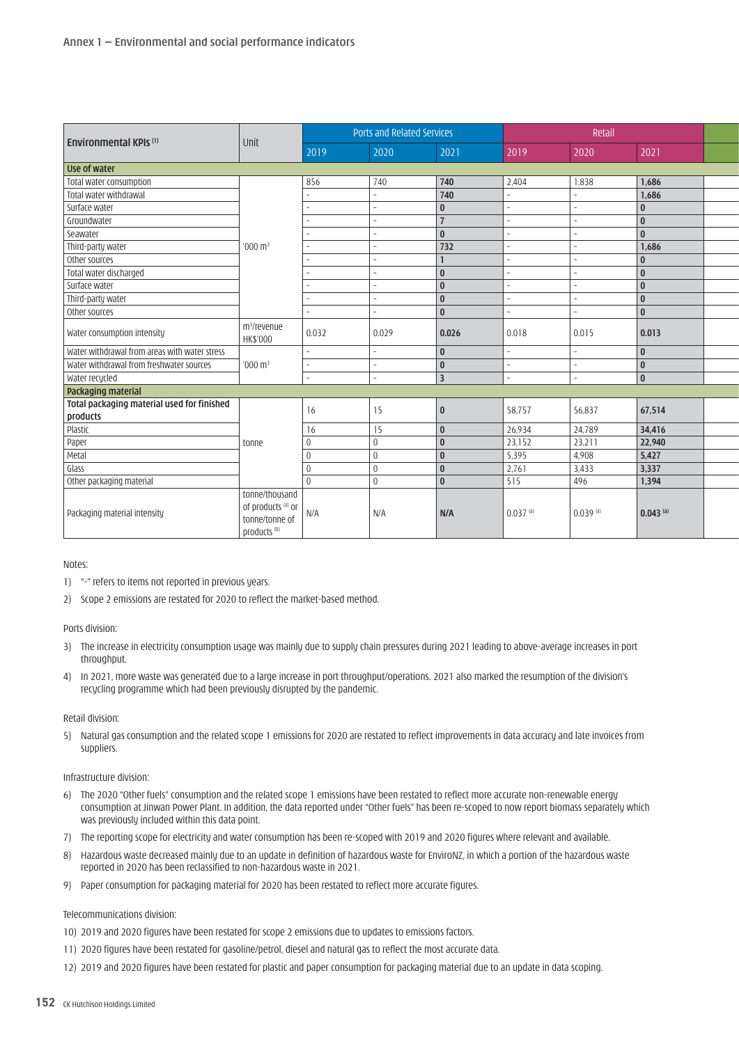| Environmental KPIs <sup>(1)</sup>                      | $ $ Unit                                                                                                                                             | Ports and Related Services |        |                         | Retail                 |               |               |  |
|--------------------------------------------------------|------------------------------------------------------------------------------------------------------------------------------------------------------|----------------------------|--------|-------------------------|------------------------|---------------|---------------|--|
|                                                        |                                                                                                                                                      | 2019                       | 2020   | 2021                    | 2019                   | 2020          | 2021          |  |
| Use of water                                           |                                                                                                                                                      |                            |        |                         |                        |               |               |  |
| Total water consumption                                |                                                                                                                                                      | 856                        | 740    | 740                     | 2,404                  | 1,838         | 1,686         |  |
| Total water withdrawal                                 |                                                                                                                                                      |                            |        | 740                     |                        |               | 1,686         |  |
| Surface water                                          |                                                                                                                                                      |                            |        |                         |                        |               |               |  |
| Groundwater                                            |                                                                                                                                                      |                            |        |                         |                        |               | ۱n            |  |
| Seawater                                               |                                                                                                                                                      |                            |        | $\Omega$                |                        |               | $\Omega$      |  |
| Third-party water                                      | $1000 \text{ m}^3$                                                                                                                                   |                            |        | 732                     |                        |               | 1,686         |  |
| other sources                                          |                                                                                                                                                      |                            |        |                         |                        |               |               |  |
| Total water discharged                                 |                                                                                                                                                      |                            |        |                         |                        |               | $\sqrt{ }$    |  |
| Surface water                                          |                                                                                                                                                      |                            |        | $\Omega$                |                        |               | ۱n            |  |
| Third-party water                                      |                                                                                                                                                      |                            |        |                         |                        |               | ۱n            |  |
| Other sources                                          |                                                                                                                                                      |                            |        | $\Omega$                |                        |               | $\Omega$      |  |
| Water consumption intensity                            | m <sup>3</sup> /revenue<br>HK\$'000                                                                                                                  | 0.032                      | 0.029  | 0.026                   | 0.018                  | 0.015         | 0.013         |  |
| Water withdrawal from areas with water stress          |                                                                                                                                                      |                            |        |                         |                        |               | ۱n            |  |
| Water withdrawal from freshwater sources               | $'000 \text{ m}^3$                                                                                                                                   |                            |        | $\sqrt{ }$              |                        |               | ۱n            |  |
| Water recycled                                         |                                                                                                                                                      |                            |        | $\overline{\mathbf{z}}$ |                        |               |               |  |
| Packaging material                                     |                                                                                                                                                      |                            |        |                         |                        |               |               |  |
| Total packaging material used for finished<br>products |                                                                                                                                                      | 16                         | 15     |                         | 58,757                 | 56,837        | 67,514        |  |
| Plastic                                                |                                                                                                                                                      | 16                         | 15     |                         | 26,934                 | 24,789        | 34,416        |  |
| Paper                                                  | tonne                                                                                                                                                |                            |        |                         | $ 23,152\rangle$       | 23,211        | 22,940        |  |
| Metal                                                  |                                                                                                                                                      |                            |        |                         | 5,395                  | 4.908         | 5.427         |  |
| Glass                                                  |                                                                                                                                                      |                            |        |                         | 2,761                  | 3,433         | 3,337         |  |
| Other packaging material                               |                                                                                                                                                      |                            | $\cap$ |                         | 515                    | 496           | 1,394         |  |
| Packaging material intensity                           | tonne/thousand<br>$\int$ of products $\left( \begin{array}{c} a \\ c \end{array} \right)$ or $\int$ N/A<br>tonne/tonne of<br>products <sup>(b)</sup> |                            | N/A    | N/A                     | $0.037$ <sup>(a)</sup> | $0.039^{(a)}$ | $0.043^{(a)}$ |  |

Notes:

- 1) "-" refers to items not reported in previous years.
- 2) Scope 2 emissions are restated for 2020 to reflect the market-based method.

Ports division:

- 3) The increase in electricity consumption usage was mainly due to supply chain pressures during 2021 leading to above-average increases in port throughput.
- 4) In 2021, more waste was generated due to a large increase in port throughput/operations. 2021 also marked the resumption of the division's recycling programme which had been previously disrupted by the pandemic.

#### Retail division:

5) Natural gas consumption and the related scope 1 emissions for 2020 are restated to reflect improvements in data accuracy and late invoices from suppliers.

#### Infrastructure division:

- 6) The 2020 "Other fuels" consumption and the related scope 1 emissions have been restated to reflect more accurate non-renewable energy consumption at Jinwan Power Plant. In addition, the data reported under "Other fuels" has been re-scoped to now report biomass separately which was previously included within this data point.
- 7) The reporting scope for electricity and water consumption has been re-scoped with 2019 and 2020 figures where relevant and available.
- 8) Hazardous waste decreased mainly due to an update in definition of hazardous waste for EnviroNZ, in which a portion of the hazardous waste reported in 2020 has been reclassified to non-hazardous waste in 2021.
- 9) Paper consumption for packaging material for 2020 has been restated to reflect more accurate figures.

### Telecommunications division:

10) 2019 and 2020 figures have been restated for scope 2 emissions due to updates to emissions factors.

- 11) 2020 figures have been restated for gasoline/petrol, diesel and natural gas to reflect the most accurate data.
- 12) 2019 and 2020 figures have been restated for plastic and paper consumption for packaging material due to an update in data scoping.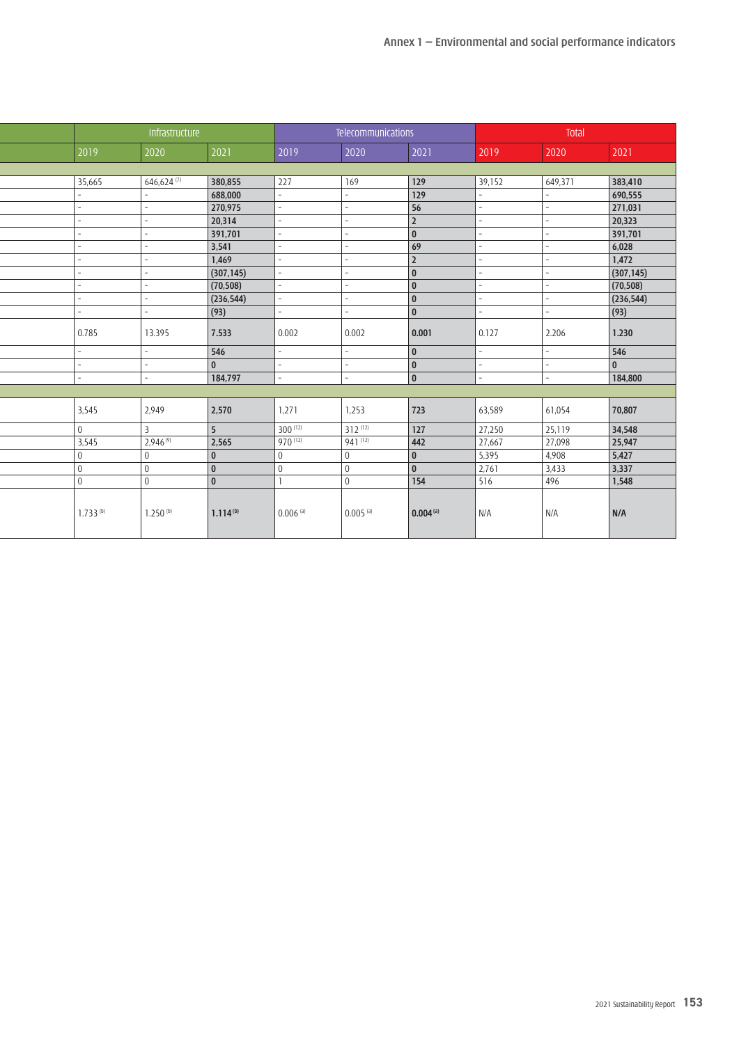| Total                     |        |                  | Telecommunications     |              |                | Infrastructure           |                 |
|---------------------------|--------|------------------|------------------------|--------------|----------------|--------------------------|-----------------|
| 2020<br>2021              | 2019   | 2021             | 2020                   | 2019         | 2021           | 2020                     | 2019            |
|                           |        |                  |                        |              |                |                          |                 |
| 649,371<br>383,410        | 39,152 | 129              | $ 169\rangle$          | 227          | 380,855        | $646,624$ <sup>(7)</sup> | 35,665          |
| 690,555                   |        | $\boxed{129}$    |                        |              | 688,000        |                          |                 |
| 271,031                   |        | 56               |                        |              | 270,975        |                          |                 |
| 20,323                    |        | $ 2\rangle$      |                        |              | 20,314         |                          |                 |
| 391,701                   |        | $ 0\rangle$      |                        |              | 391,701        |                          |                 |
| 6,028                     |        | 69               |                        |              | 3,541          |                          |                 |
| 1,472                     |        | $ 2\rangle$      |                        |              | 1,469          |                          |                 |
| (307, 145)                |        | $ 0\rangle$      |                        |              | (307, 145)     |                          |                 |
| (70, 508)                 |        | $\boxed{0}$      |                        |              | (70, 508)      |                          |                 |
| (236, 544)                |        | $ 0\rangle$      |                        |              | (236, 544)     |                          |                 |
| $\boxed{(93)}$            |        | $\overline{0}$   |                        |              | (93)           |                          |                 |
| 2.206<br>1.230            | 0.127  | 0.001            | 0.002                  | 0.002        | 7.533          | 13.395                   | 0.785           |
| 546                       |        | $\overline{0}$   |                        |              | 546            |                          |                 |
| $\mathbf{0}$              |        | $\vert$ 0        |                        |              | 0 I            |                          |                 |
| 184,800                   |        | $\overline{0}$   |                        |              | 184,797        |                          |                 |
|                           |        |                  |                        |              |                |                          |                 |
| 70,807<br>61,054          | 63,589 | 723              | 1,253                  | 1,271        | 2,570          | 2.949                    | 3,545           |
| 34,548<br>25,119          | 27,250 | $\overline{127}$ | $312^{(12)}$           | $300^{(12)}$ | <b>5</b>       |                          | l n             |
| 27,098<br>25,947          | 27,667 | 442              | $941^{(12)}$           | 970 (12)     | 2,565          | $2.946^{(9)}$            | 3,545           |
| 4,908<br>5,427            | 5,395  | $ 0\rangle$      | $\overline{0}$         |              | $\overline{0}$ |                          | l o             |
| 3,337<br>3,433            | 2,761  | $ 0\rangle$      | $\overline{0}$         |              | 0 I            |                          | $\vert 0 \vert$ |
| $\overline{1,548}$<br>496 | 516    | 154              | $\overline{0}$         |              | <b>0</b>       |                          | $\overline{0}$  |
| N/A<br>N/A                | N/A    | $0.004^{(a)}$    | $0.005$ <sup>(a)</sup> | $0.006$ (a)  | $1.114^{(b)}$  | $1.250^{(b)}$            | $1.733^{(b)}$   |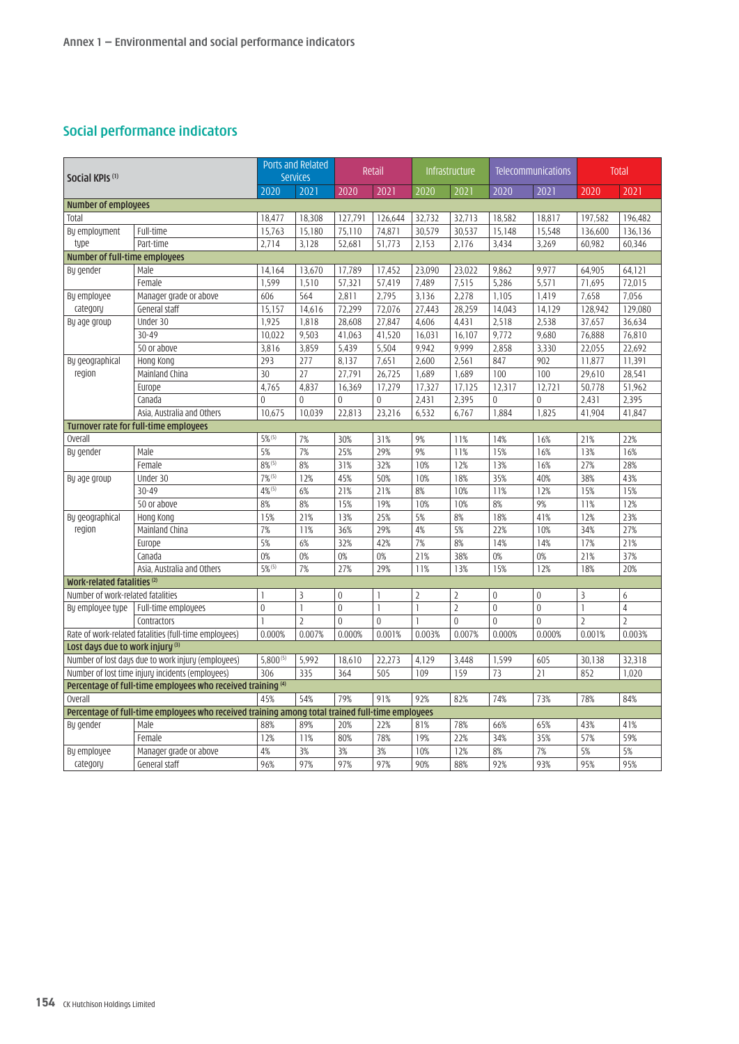# **Social performance indicators**

| Social KPIs <sup>(1)</sup>             |                                                                                                 | Ports and Related<br><b>Services</b> |                  | Retail         | Infrastructure |                | <b>Telecommunications</b> |                | <b>Total</b> |                |                |
|----------------------------------------|-------------------------------------------------------------------------------------------------|--------------------------------------|------------------|----------------|----------------|----------------|---------------------------|----------------|--------------|----------------|----------------|
|                                        |                                                                                                 | 2020                                 | 2021             | 2020           | 2021           | 2020           | 2021                      | 2020           | 2021         | 2020           | 2021           |
| <b>Number of employees</b>             |                                                                                                 |                                      |                  |                |                |                |                           |                |              |                |                |
| Total                                  |                                                                                                 | 18,477                               | 18,308           | 127,791        | 126,644        | 32,732         | 32,713                    | 18,582         | 18,817       | 197,582        | 196,482        |
| By employment                          | Full-time                                                                                       | 15,763                               | 15,180           | 75,110         | 74,871         | 30,579         | 30,537                    | 15,148         | 15,548       | 136,600        | 136,136        |
| type                                   | Part-time                                                                                       | 2,714                                | 3,128            | 52,681         | 51,773         | 2,153          | 2,176                     | 3,434          | 3,269        | 60,982         | 60,346         |
| <b>Number of full-time employees</b>   |                                                                                                 |                                      |                  |                |                |                |                           |                |              |                |                |
| By gender                              | Male                                                                                            | 14,164                               | 13,670           | 17,789         | 17,452         | 23,090         | 23,022                    | 9,862          | 9,977        | 64,905         | 64,121         |
|                                        | Female                                                                                          | 1.599                                | 1.510            | 57,321         | 57,419         | 7.489          | 7.515                     | 5,286          | 5.571        | 71.695         | 72,015         |
| By employee                            | Manager grade or above                                                                          | 606                                  | 564              | 2,811          | 2,795          | 3,136          | 2,278                     | 1,105          | 1,419        | 7,658          | 7,056          |
| category                               | General staff                                                                                   | 15,157                               | 14,616           | 72,299         | 72,076         | 27,443         | 28,259                    | 14,043         | 14,129       | 128,942        | 129,080        |
| By age group                           | Under 30                                                                                        | 1,925                                | 1,818            | 28,608         | 27,847         | 4,606          | 4,431                     | 2,518          | 2,538        | 37,657         | 36,634         |
|                                        | $30 - 49$                                                                                       | 10,022                               | 9,503            | 41,063         | 41,520         | 16,031         | 16,107                    | 9,772          | 9,680        | 76,888         | 76,810         |
|                                        | 50 or above                                                                                     | 3,816                                | 3,859            | 5,439          | 5,504          | 9,942          | 9,999                     | 2,858          | 3,330        | 22,055         | 22,692         |
| By geographical                        | Hong Kong                                                                                       | 293                                  | 277              | 8,137          | 7,651          | 2,600          | 2,561                     | 847            | 902          | 11,877         | 11,391         |
| region                                 | Mainland China                                                                                  | 30                                   | 27               | 27,791         | 26,725         | 1,689          | 1,689                     | 100            | 100          | 29,610         | 28,541         |
|                                        | Europe                                                                                          | 4,765                                | 4,837            | 16,369         | 17,279         | 17,327         | 17,125                    | 12,317         | 12,721       | 50,778         | 51,962         |
|                                        | Canada                                                                                          | $\Omega$                             | $\overline{0}$   | $\Omega$       | $\Omega$       | 2,431          | 2,395                     | $\theta$       | $\Omega$     | 2,431          | 2,395          |
|                                        | Asia, Australia and Others                                                                      | 10.675                               | 10.039           | 22,813         | 23,216         | 6,532          | 6.767                     | 1,884          | 1,825        | 41.904         | 41,847         |
| Turnover rate for full-time employees  |                                                                                                 |                                      |                  |                |                |                |                           |                |              |                |                |
| <b>Overall</b>                         |                                                                                                 | $5\%$ <sup>(5)</sup>                 | 7%               | 30%            | 31%            | 9%             | 11%                       | 14%            | 16%          | 21%            | 22%            |
| By gender                              | Male                                                                                            | 5%                                   | $\overline{7\%}$ | 25%            | 29%            | 9%             | 11%                       | 15%            | 16%          | 13%            | 16%            |
|                                        | Female                                                                                          | $8\%^{(5)}$                          | 8%               | 31%            | 32%            | 10%            | 12%                       | 13%            | 16%          | 27%            | 28%            |
| By age group                           | Under 30                                                                                        | $7\%$ <sup>(5)</sup>                 | 12%              | 45%            | 50%            | 10%            | 18%                       | 35%            | 40%          | 38%            | 43%            |
|                                        | $30 - 49$                                                                                       | $4\%$ <sup>(5)</sup>                 | 6%               | 21%            | 21%            | 8%             | 10%                       | 11%            | 12%          | 15%            | 15%            |
|                                        | 50 or above                                                                                     | 8%                                   | 8%               | 15%            | 19%            | 10%            | 10%                       | 8%             | 9%           | 11%            | 12%            |
| By geographical                        | Hong Kong                                                                                       | 15%                                  | 21%              | 13%            | 25%            | 5%             | 8%                        | 18%            | 41%          | 12%            | 23%            |
| region                                 | Mainland China                                                                                  | 7%                                   | 11%              | 36%            | 29%            | 4%             | 5%                        | 22%            | 10%          | 34%            | 27%            |
|                                        | Europe                                                                                          | 5%                                   | $6\%$            | 32%            | 42%            | 7%             | 8%                        | 14%            | 14%          | 17%            | 21%            |
|                                        | Canada                                                                                          | $0\%$                                | 0%               | 0%             | 0%             | 21%            | 38%                       | 0%             | 0%           | 21%            | 37%            |
|                                        | Asia, Australia and Others                                                                      | $5%$ <sup>(5)</sup>                  | 7%               | 27%            | 29%            | 11%            | 13%                       | 15%            | 12%          | 18%            | 20%            |
| Work-related fatalities <sup>(2)</sup> |                                                                                                 |                                      |                  |                |                |                |                           |                |              |                |                |
| Number of work-related fatalities      |                                                                                                 | $\mathbf{1}$                         | $\overline{3}$   | $\mathbf{0}$   | $\mathbf{1}$   | $\overline{2}$ | $\overline{2}$            | $\mathbf{0}$   | $\mathbf{0}$ | $\overline{3}$ | 6              |
| By employee type                       | Full-time employees                                                                             | $\overline{0}$                       | $\mathbf{1}$     | $\overline{0}$ | $\mathbf{1}$   | $\mathbf{1}$   | $\overline{2}$            | $\overline{0}$ | $\theta$     | $\mathbf{1}$   | 4              |
|                                        | Contractors                                                                                     |                                      | $\overline{2}$   | $\overline{0}$ | $\overline{0}$ | $\mathbf{1}$   | $\overline{0}$            | $\theta$       | $\theta$     | $\overline{2}$ | $\overline{2}$ |
|                                        | Rate of work-related fatalities (full-time employees)                                           | 0.000%                               | 0.007%           | 0.000%         | 0.001%         | 0.003%         | 0.007%                    | 0.000%         | 0.000%       | 0.001%         | 0.003%         |
| Lost days due to work injury (3)       |                                                                                                 |                                      |                  |                |                |                |                           |                |              |                |                |
|                                        | Number of lost days due to work injury (employees)                                              | $5,800^{(5)}$                        | 5,992            | 18,610         | 22,273         | 4,129          | 3,448                     | 1,599          | 605          | 30,138         | 32,318         |
|                                        | Number of lost time injury incidents (employees)                                                | 306                                  | 335              | 364            | 505            | 109            | 159                       | 73             | 21           | 852            | 1,020          |
|                                        | Percentage of full-time employees who received training (4)                                     | 45%                                  | 54%              |                |                |                |                           |                |              |                |                |
| <b>Overall</b>                         |                                                                                                 |                                      |                  | 79%            | 91%            | 92%            | 82%                       | 74%            | 73%          | 78%            | 84%            |
|                                        | Percentage of full-time employees who received training among total trained full-time employees |                                      |                  |                |                |                |                           |                |              |                |                |
| By gender                              | Male                                                                                            | 88%                                  | 89%              | 20%            | 22%            | 81%            | 78%                       | 66%            | 65%          | 43%            | 41%            |
|                                        | Female                                                                                          | 12%                                  | 11%              | 80%            | 78%            | 19%            | 22%                       | 34%            | 35%          | 57%            | 59%            |
| By employee                            | Manager grade or above                                                                          | 4%                                   | 3%               | 3%             | 3%             | 10%            | 12%                       | 8%             | 7%           | 5%             | 5%             |
| category                               | General staff                                                                                   | 96%                                  | 97%              | 97%            | 97%            | 90%            | 88%                       | 92%            | 93%          | 95%            | 95%            |